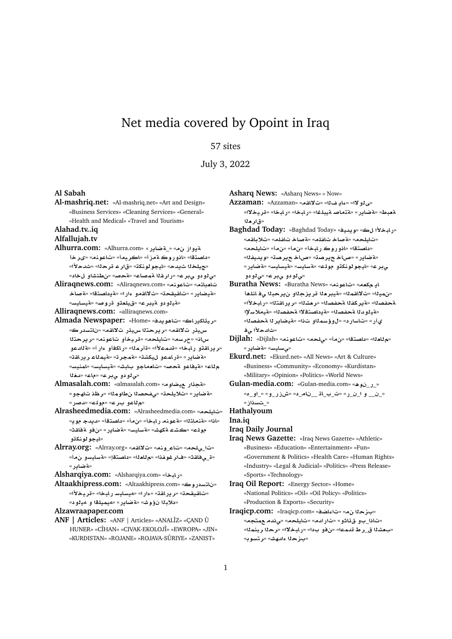## Net media covered by Opoint in Iraq

## 57 sites

July 3, 2022

**Al Sabah**

**Al-mashriq.net:** «Al-mashriq.net» «Art and Design» «Business Services» «Cleaning Services» «General» «Health and Medical» «Travel and Tourism»

**Alahad.tv..iq**

**Alfallujah.tv**

- Alhurra.com: «Alhurra.com» «\_ قصاير » «Alhurra.com «داصتقا» «انوروك ةمزأ» «اكريما» «تاعونم» «ىرخأ «جهيلخلا شيدح» «ليجو لونكة» «قار عـ قرحلا» «شدحلاً» «*ي*لودو يبرع» «رارقلا ةمصاع» «ةحصه «نطنشاو لخاد»
- **Aliraqnews.com:** «Aliraqnews.com» «**nwA**» «**tA`A A}T**» «**tOA §T**» «**Cº ¤qA¯**» «**qyqA**» «**C§ARyT**» «ه**ي**الو دو التيبراع» «قيلعتو اقراق هنه» «قيسليسه»

**Alliraqnews.com:** «alliraqnews.com»

- **Almada Newspaper:** «Home» «**d§w¡A**» «**AC§kAyr**» س.يدًر ت¥اقم» «ر بر حتلا س.يدًر ت¥اقم» «ناتسدر ك» **tr§r**» «**nwA ¤yr**» «**lyA**» «**sr**» «**Ax** «ر ير ا<mark>هتو ر ابخا» «قدمءلأا» «قأر مل</mark>ا» «ر اكفأو ءار آ» «**ةل**ادعو «**قضاير» «**قراممو ل&يكشة» «قمجرة» «قيملاء ريراشة» «**FynmA**» «**FyAFyT**» «**JbA ¤A`A**» «**}T ¤AyT**» «**A** «*ي لو دو ي*بر ع» «ماع» «*نـغ*ُلا
- **Almasalah.com:** «almasalah.com» «**wRy C¶T**» «**¤ضاير» «تلايلح**ت» «ىفحصلاا نطاوملل» «رظذ تاھجو» «**C}d**» «**lw**» «**r ¤A**»
- **Alrasheedmedia.com:** «Alrasheedmedia.com» «**lyA**» «اذا» «قنملثلا» «قعونه رابخأ» «ن.هأ» «داصتقأ» «ديدج موي» «**qAT ¤**» «**C§ART**» «**FyAFT**» «**JhkT K**» «**lw** «ايجو **لونك**ڌو
- **Alrray.org:** «Alrray.org» «**qA¯**» «**nw**\_**A**» «**l¨**\_» «ق\_ى فاقث» «فار غوغذا» «م للعله» «داصتة!» «قسايسو بن مـأ» «**ته ضادر** »

**Alsharqiya.com:** «Alsharqiya.com» «**bAC**»

**Altaakhipress.com:** «Altaakhipress.com» «**wC FtA** » «**±yr**» «**bAC FyAFy¢**» «**Cº**» «**qAC§r**» «**qyqA**» «دلاب<sup>ز</sup>ا نؤوش» «ةضاير» «ميميلقا و مي<sup>ر</sup>ود»

**Alzawraapaper.com**

**ANF | Articles:** «ANF | Articles» «ANALÎZ» «ÇAND Û HUNER» «CÎHAN» «CIVAK-EKOLOJλ «EWROPA» «JIN» «KURDISTAN» «ROJANE» «ROJAVA-SÛRIYE» «ZANIST»

**Asharq News:** «Asharq News» « Now»

**Azzaman:** «Azzaman» «**qA¯**» « **§Aº**» «**¯¤Y**» «**¯yr**» «**bAC**» «**bAC**» «**lbyT }AtT**» «**C§ART**» «**Vb`T** «ق ا**ر م**قا

- **Baghdad Today:** «Baghdad Today» «**yd§w**» « **±bAC**» «تاملحه» «aّصاخ تاغله» «aّصاخ تاغله» «تلايلقه» «داصتقا» «انو روك رابخأ» «نِمأ» «نِمأ» «تايلحم» «**fyd§w**» «**Or§ AQ**» «**Or§ AQ**» «**C§ART**» «**C§ART**» «**FyAFyT**» «**FyAFT**» «**lw ¤knwwyA**» «**r¨** «*ي ڌو دو .ي*بر ع» «ي *ڏو دو*
- **Buratha News:** «Buratha News» «**nwA**» «**`k §A** «نهينا» «ت'لااقمنا» «قيبرهنا قريزجناو نيرحبنا يفائلهأ «**±bAC**» «**tqAC§r**» «**K`r**» «**OfT fkr§T**» «**OfT** «قيلوبدلا قحفصل<sup>ا</sup>» «قيداصت<mark>قلاا قحفصلل» «قيملاسلإا</mark> يأر» «تاسار د» «لوؤسم**ن**او تذا» «قيضاير نا قحفصنا» «ثالدحلاً *ل*ي ف
- **Dijlah:** «Dijlah» «**nwA**» «**l¨**» «» «**tOA** » «**`A**» «*ق سايس*» «**قضاب**ر»

**Ekurd.net:** «Ekurd.net» «All News» «Art & Culture» «Business» «Community» «Economy» «Kurdistan» «Military» «Opinion» «Politics» «World News»

**Gulan-media.com:** «Gulan-media.com» «**¡w** \_**C**\_» «**£**\_**¤**\_» «**¤**\_**CEM**» «\_**A** \_\_ **A**\_\_» «**C**\_\_ **¤** \_\_\_»

« ـت*ـسددا*ز »

**Hathalyoum**

**Ina.iq**

**Iraq Daily Journal**

- **Iraq News Gazette:** «Iraq News Gazette» «Athletic» «Business» «Education» «Entertainment» «Fun» «Government & Politics» «Health Care» «Human Rights» «Industry» «Legal & Judicial» «Politics» «Press Release» «Sports» «Technology»
- **Iraq Oil Report:** «Energy Sector» «Home» «National Politics» «Oil» «Oil Policy» «Politics» «Production & Exports» «Security»
- **Iraqicp.com:** «Iraqicp.com» «**SAº**» « **z** » «تاذا\_بو قءٔاثو» «تارادم» «تايلحم» «يِ ن*دم ع*متج*م*» «بعشلا ق\_ر ط قدمـعا» «ن.فو بـدا» «ر.لبـخـلاا» «ر.حـلا ر.بـنـمـلـا» «بـزحل<sub>ّ</sub> ءا*نـهش*» «رتسوبه